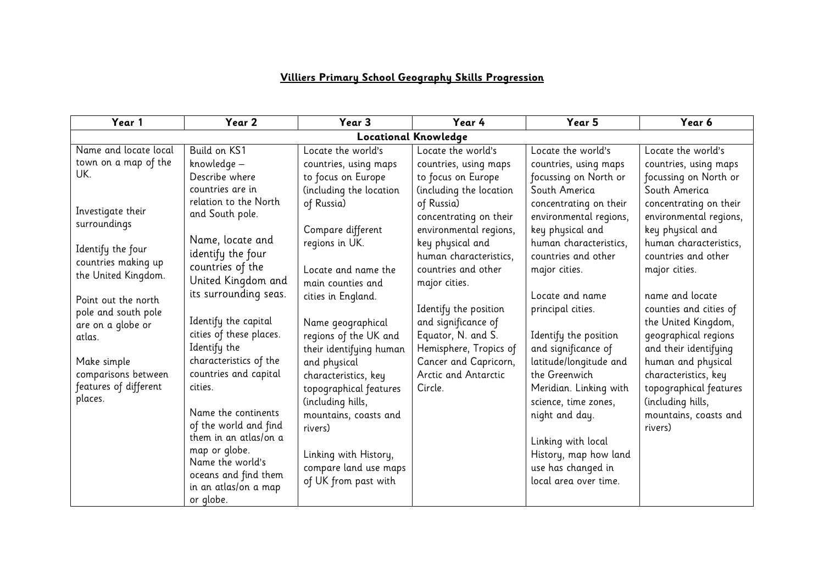## **Villiers Primary School Geography Skills Progression**

| Year 1                      | Year 2                                       | Year 3                  | Year 4                  | Year 5                 | Year 6                 |  |
|-----------------------------|----------------------------------------------|-------------------------|-------------------------|------------------------|------------------------|--|
| <b>Locational Knowledge</b> |                                              |                         |                         |                        |                        |  |
| Name and locate local       | Build on KS1                                 | Locate the world's      | Locate the world's      | Locate the world's     | Locate the world's     |  |
| town on a map of the        | knowledge -                                  | countries, using maps   | countries, using maps   | countries, using maps  | countries, using maps  |  |
| UK.                         | Describe where                               | to focus on Europe      | to focus on Europe      | focussing on North or  | focussing on North or  |  |
|                             | countries are in                             | (including the location | (including the location | South America          | South America          |  |
|                             | relation to the North                        | of Russia)              | of Russia)              | concentrating on their | concentrating on their |  |
| Investigate their           | and South pole.                              |                         | concentrating on their  | environmental regions, | environmental regions, |  |
| surroundings                |                                              | Compare different       | environmental regions,  | key physical and       | key physical and       |  |
| Identify the four           | Name, locate and                             | regions in UK.          | key physical and        | human characteristics, | human characteristics, |  |
| countries making up         | identify the four                            |                         | human characteristics,  | countries and other    | countries and other    |  |
| the United Kingdom.         | countries of the                             | Locate and name the     | countries and other     | major cities.          | major cities.          |  |
|                             | United Kingdom and                           | main counties and       | major cities.           |                        |                        |  |
| Point out the north         | its surrounding seas.                        | cities in England.      |                         | Locate and name        | name and locate        |  |
| pole and south pole         |                                              |                         | Identify the position   | principal cities.      | counties and cities of |  |
| are on a globe or           | Identify the capital                         | Name geographical       | and significance of     |                        | the United Kingdom,    |  |
| atlas.                      | cities of these places.                      | regions of the UK and   | Equator, N. and S.      | Identify the position  | geographical regions   |  |
|                             | Identify the                                 | their identifying human | Hemisphere, Tropics of  | and significance of    | and their identifying  |  |
| Make simple                 | characteristics of the                       | and physical            | Cancer and Capricorn,   | latitude/longitude and | human and physical     |  |
| comparisons between         | countries and capital                        | characteristics, key    | Arctic and Antarctic    | the Greenwich          | characteristics, key   |  |
| features of different       | cities.                                      | topographical features  | Circle.                 | Meridian. Linking with | topographical features |  |
| places.                     |                                              | (including hills,       |                         | science, time zones,   | (including hills,      |  |
|                             | Name the continents                          | mountains, coasts and   |                         | night and day.         | mountains, coasts and  |  |
|                             | of the world and find                        | rivers)                 |                         |                        | rivers)                |  |
|                             | them in an atlas/on a                        |                         |                         | Linking with local     |                        |  |
|                             | map or globe.<br>Name the world's            | Linking with History,   |                         | History, map how land  |                        |  |
|                             |                                              | compare land use maps   |                         | use has changed in     |                        |  |
|                             | oceans and find them<br>in an atlas/on a map | of UK from past with    |                         | local area over time.  |                        |  |
|                             | or globe.                                    |                         |                         |                        |                        |  |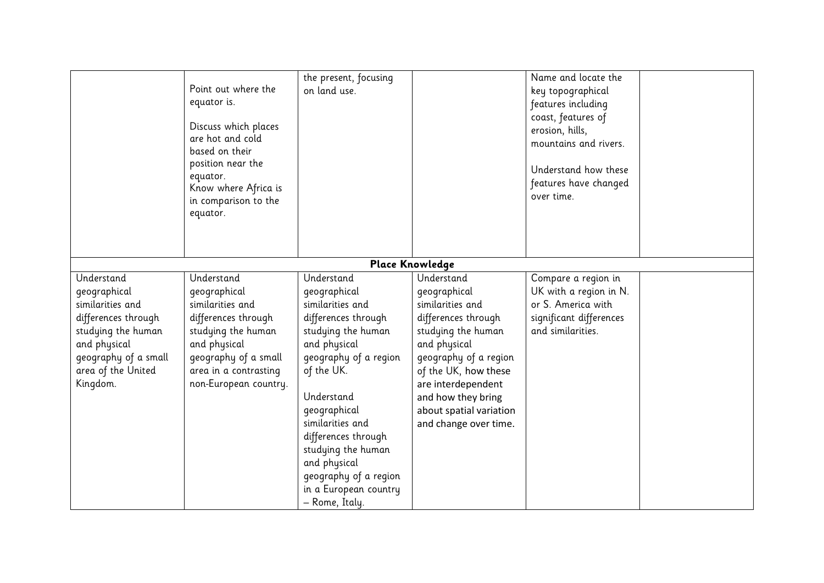|                                                                                                                                                                       | Point out where the<br>equator is.<br>Discuss which places<br>are hot and cold<br>based on their<br>position near the<br>equator.<br>Know where Africa is<br>in comparison to the<br>equator. | the present, focusing<br>on land use.                                                                                                                                                                                                                                                                                                 |                                                                                                                                                                                                                                                              | Name and locate the<br>key topographical<br>features including<br>coast, features of<br>erosion, hills,<br>mountains and rivers.<br>Understand how these<br>features have changed<br>over time. |  |
|-----------------------------------------------------------------------------------------------------------------------------------------------------------------------|-----------------------------------------------------------------------------------------------------------------------------------------------------------------------------------------------|---------------------------------------------------------------------------------------------------------------------------------------------------------------------------------------------------------------------------------------------------------------------------------------------------------------------------------------|--------------------------------------------------------------------------------------------------------------------------------------------------------------------------------------------------------------------------------------------------------------|-------------------------------------------------------------------------------------------------------------------------------------------------------------------------------------------------|--|
|                                                                                                                                                                       |                                                                                                                                                                                               |                                                                                                                                                                                                                                                                                                                                       | <b>Place Knowledge</b>                                                                                                                                                                                                                                       |                                                                                                                                                                                                 |  |
| Understand<br>geographical<br>similarities and<br>differences through<br>studying the human<br>and physical<br>geography of a small<br>area of the United<br>Kingdom. | Understand<br>geographical<br>similarities and<br>differences through<br>studying the human<br>and physical<br>geography of a small<br>area in a contrasting<br>non-European country.         | Understand<br>geographical<br>similarities and<br>differences through<br>studying the human<br>and physical<br>geography of a region<br>of the UK.<br>Understand<br>geographical<br>similarities and<br>differences through<br>studying the human<br>and physical<br>geography of a region<br>in a European country<br>- Rome, Italy. | Understand<br>geographical<br>similarities and<br>differences through<br>studying the human<br>and physical<br>geography of a region<br>of the UK, how these<br>are interdependent<br>and how they bring<br>about spatial variation<br>and change over time. | Compare a region in<br>UK with a region in N.<br>or S. America with<br>significant differences<br>and similarities.                                                                             |  |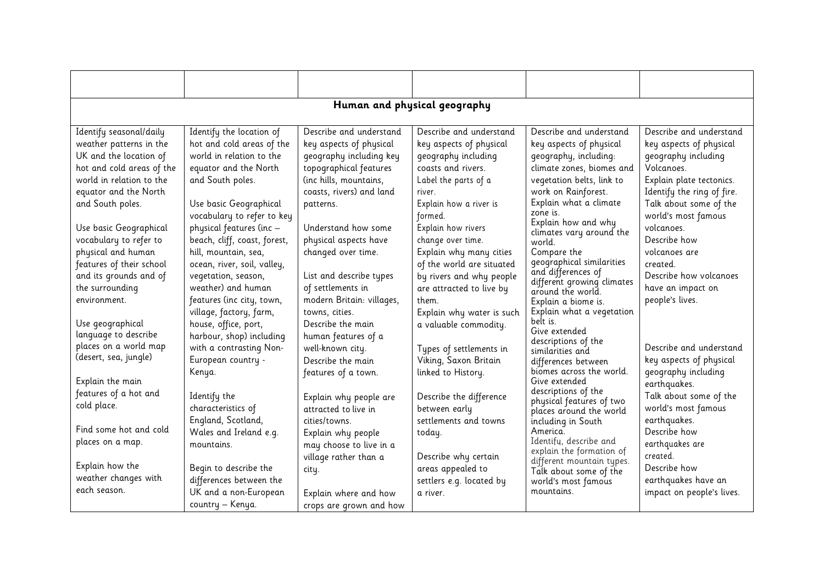| Human and physical geography |                              |                           |                           |                                                    |                            |  |
|------------------------------|------------------------------|---------------------------|---------------------------|----------------------------------------------------|----------------------------|--|
|                              |                              |                           |                           |                                                    |                            |  |
| Identify seasonal/daily      | Identify the location of     | Describe and understand   | Describe and understand   | Describe and understand                            | Describe and understand    |  |
| weather patterns in the      | hot and cold areas of the    | key aspects of physical   | key aspects of physical   | key aspects of physical                            | key aspects of physical    |  |
| UK and the location of       | world in relation to the     | geography including key   | geography including       | geography, including:                              | geography including        |  |
| hot and cold areas of the    | equator and the North        | topographical features    | coasts and rivers.        | climate zones, biomes and                          | Volcanoes.                 |  |
| world in relation to the     | and South poles.             | (inc hills, mountains,    | Label the parts of a      | vegetation belts, link to                          | Explain plate tectonics.   |  |
| equator and the North        |                              | coasts, rivers) and land  | river.                    | work on Rainforest.                                | Identify the ring of fire. |  |
| and South poles.             | Use basic Geographical       | patterns.                 | Explain how a river is    | Explain what a climate                             | Talk about some of the     |  |
|                              | vocabulary to refer to key   |                           | formed.                   | zone is.                                           | world's most famous        |  |
| Use basic Geographical       | physical features (inc -     | Understand how some       | Explain how rivers        | Explain how and why<br>climates vary around the    | volcanoes.                 |  |
| vocabulary to refer to       | beach, cliff, coast, forest, | physical aspects have     | change over time.         | world.                                             | Describe how               |  |
| physical and human           | hill, mountain, sea,         | changed over time.        | Explain why many cities   | Compare the                                        | volcanoes are              |  |
| features of their school     | ocean, river, soil, valley,  |                           | of the world are situated | geographical similarities                          | created.                   |  |
| and its grounds and of       | vegetation, season,          | List and describe types   | by rivers and why people  | and differences of<br>different growing climates   | Describe how volcanoes     |  |
| the surrounding              | weather) and human           | of settlements in         | are attracted to live by  | around the world.                                  | have an impact on          |  |
| environment.                 | features (inc city, town,    | modern Britain: villages, | them.                     | Explain a biome is.                                | people's lives.            |  |
|                              | village, factory, farm,      | towns, cities.            | Explain why water is such | Explain what a vegetation                          |                            |  |
| Use geographical             | house, office, port,         | Describe the main         | a valuable commodity.     | belt is.                                           |                            |  |
| language to describe         | harbour, shop) including     | human features of a       |                           | Give extended<br>descriptions of the               |                            |  |
| places on a world map        | with a contrasting Non-      | well-known city.          | Types of settlements in   | similarities and                                   | Describe and understand    |  |
| (desert, sea, jungle)        | European country -           | Describe the main         | Viking, Saxon Britain     | differences between                                | key aspects of physical    |  |
|                              | Kenya.                       | features of a town.       | linked to History.        | biomes across the world.                           | geography including        |  |
| Explain the main             |                              |                           |                           | Give extended<br>descriptions of the               | earthquakes.               |  |
| features of a hot and        | Identify the                 | Explain why people are    | Describe the difference   | physical features of two                           | Talk about some of the     |  |
| cold place.                  | characteristics of           | attracted to live in      | between early             | places around the world                            | world's most famous        |  |
|                              | England, Scotland,           | cities/towns.             | settlements and towns     | including in South                                 | earthquakes.               |  |
| Find some hot and cold       | Wales and Ireland e.g.       | Explain why people        | today.                    | America.                                           | Describe how               |  |
| places on a map.             | mountains.                   | may choose to live in a   |                           | Identify, describe and<br>explain the formation of | earthquakes are            |  |
|                              |                              | village rather than a     | Describe why certain      | different mountain types.                          | created.                   |  |
| Explain how the              | Begin to describe the        | city.                     | areas appealed to         | Talk about some of the                             | Describe how               |  |
| weather changes with         | differences between the      |                           | settlers e.g. located by  | world's most famous                                | earthquakes have an        |  |
| each season.                 | UK and a non-European        | Explain where and how     | a river.                  | mountains.                                         | impact on people's lives.  |  |
|                              | country - Kenya.             | crops are grown and how   |                           |                                                    |                            |  |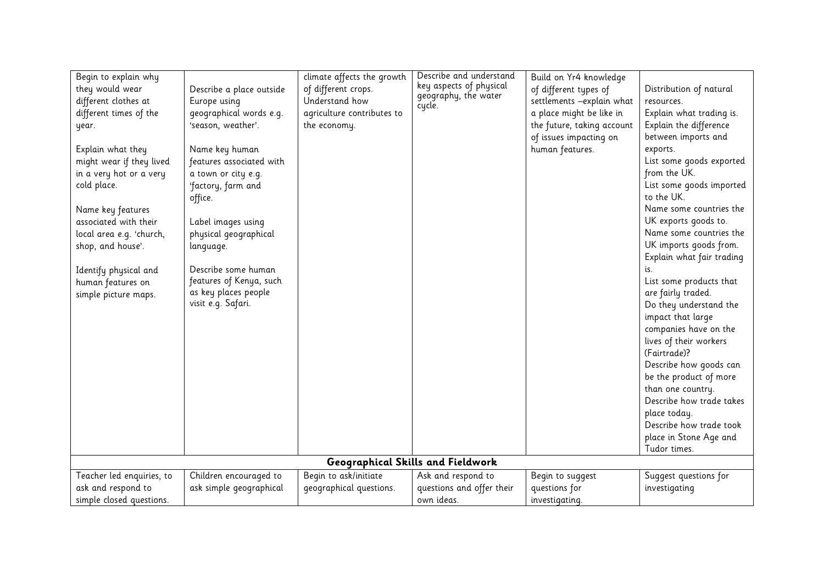| Begin to explain why      |                          | climate affects the growth | Describe and understand           | Build on Yr4 knowledge     |                           |
|---------------------------|--------------------------|----------------------------|-----------------------------------|----------------------------|---------------------------|
| they would wear           | Describe a place outside | of different crops.        | key aspects of physical           | of different types of      | Distribution of natural   |
| different clothes at      | Europe using             | Understand how             | geography, the water              | settlements -explain what  | resources.                |
| different times of the    | geographical words e.g.  | agriculture contributes to | cycle.                            | a place might be like in   | Explain what trading is.  |
| year.                     | 'season, weather'.       | the economy.               |                                   | the future, taking account | Explain the difference    |
|                           |                          |                            |                                   | of issues impacting on     | between imports and       |
| Explain what they         | Name key human           |                            |                                   | human features.            | exports.                  |
| might wear if they lived  | features associated with |                            |                                   |                            | List some goods exported  |
| in a very hot or a very   | a town or city e.g.      |                            |                                   |                            | from the UK.              |
| cold place.               | 'factory, farm and       |                            |                                   |                            | List some goods imported  |
|                           | office.                  |                            |                                   |                            | to the UK.                |
| Name key features         |                          |                            |                                   |                            | Name some countries the   |
| associated with their     | Label images using       |                            |                                   |                            | UK exports goods to.      |
| local area e.g. 'church,  | physical geographical    |                            |                                   |                            | Name some countries the   |
| shop, and house'.         | language.                |                            |                                   |                            | UK imports goods from.    |
|                           |                          |                            |                                   |                            | Explain what fair trading |
| Identify physical and     | Describe some human      |                            |                                   |                            | is.                       |
| human features on         | features of Kenya, such  |                            |                                   |                            | List some products that   |
| simple picture maps.      | as key places people     |                            |                                   |                            | are fairly traded.        |
|                           | visit e.g. Safari.       |                            |                                   |                            | Do they understand the    |
|                           |                          |                            |                                   |                            | impact that large         |
|                           |                          |                            |                                   |                            | companies have on the     |
|                           |                          |                            |                                   |                            | lives of their workers    |
|                           |                          |                            |                                   |                            | (Fairtrade)?              |
|                           |                          |                            |                                   |                            | Describe how goods can    |
|                           |                          |                            |                                   |                            | be the product of more    |
|                           |                          |                            |                                   |                            | than one country.         |
|                           |                          |                            |                                   |                            | Describe how trade takes  |
|                           |                          |                            |                                   |                            | place today.              |
|                           |                          |                            |                                   |                            | Describe how trade took   |
|                           |                          |                            |                                   |                            | place in Stone Age and    |
|                           |                          |                            |                                   |                            | Tudor times.              |
|                           |                          |                            | Geographical Skills and Fieldwork |                            |                           |
| Teacher led enquiries, to | Children encouraged to   | Begin to ask/initiate      | Ask and respond to                | Begin to suggest           | Suggest questions for     |
| ask and respond to        | ask simple geographical  | geographical questions.    | questions and offer their         | questions for              | investigating             |
| simple closed questions.  |                          |                            | own ideas.                        | investigating.             |                           |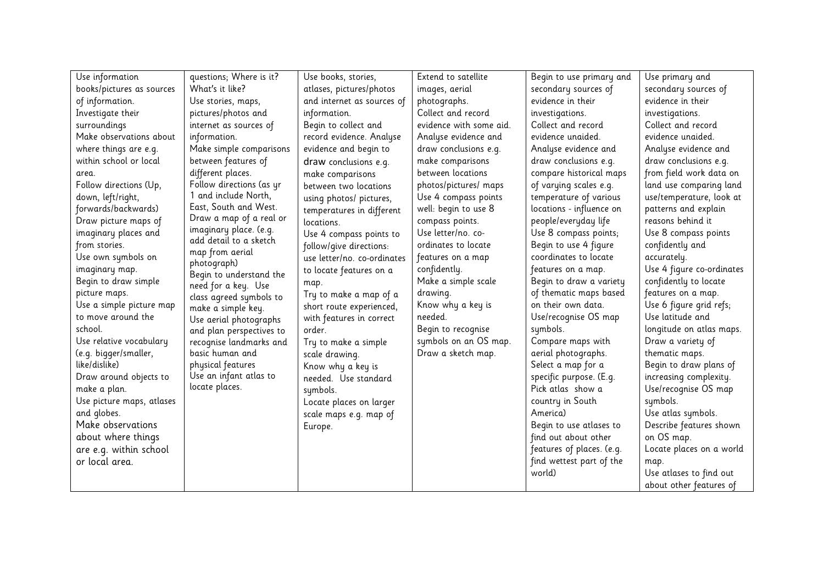| Use information           | questions; Where is it?                          | Use books, stories,         | Extend to satellite     | Begin to use primary and  | Use primary and           |
|---------------------------|--------------------------------------------------|-----------------------------|-------------------------|---------------------------|---------------------------|
| books/pictures as sources | What's it like?                                  | atlases, pictures/photos    | images, aerial          | secondary sources of      | secondary sources of      |
| of information.           | Use stories, maps,                               | and internet as sources of  | photographs.            | evidence in their         | evidence in their         |
| Investigate their         | pictures/photos and                              | information.                | Collect and record      | investigations.           | investigations.           |
| surroundings              | internet as sources of                           | Begin to collect and        | evidence with some aid. | Collect and record        | Collect and record        |
| Make observations about   | information.                                     | record evidence. Analyse    | Analyse evidence and    | evidence unaided.         | evidence unaided.         |
| where things are e.g.     | Make simple comparisons                          | evidence and begin to       | draw conclusions e.g.   | Analyse evidence and      | Analyse evidence and      |
| within school or local    | between features of                              | draw conclusions e.g.       | make comparisons        | draw conclusions e.g.     | draw conclusions e.g.     |
| area.                     | different places.                                | make comparisons            | between locations       | compare historical maps   | from field work data on   |
| Follow directions (Up,    | Follow directions (as yr                         | between two locations       | photos/pictures/ maps   | of varying scales e.g.    | land use comparing land   |
| down, left/right,         | 1 and include North,                             | using photos/ pictures,     | Use 4 compass points    | temperature of various    | use/temperature, look at  |
| forwards/backwards)       | East, South and West.                            | temperatures in different   | well: begin to use 8    | locations - influence on  | patterns and explain      |
| Draw picture maps of      | Draw a map of a real or                          | locations.                  | compass points.         | people/everyday life      | reasons behind it         |
| imaginary places and      | imaginary place. (e.g.<br>add detail to a sketch | Use 4 compass points to     | Use letter/no. co-      | Use 8 compass points;     | Use 8 compass points      |
| from stories.             | map from aerial                                  | follow/give directions:     | ordinates to locate     | Begin to use 4 figure     | confidently and           |
| Use own symbols on        | photograph)                                      | use letter/no. co-ordinates | features on a map       | coordinates to locate     | accurately.               |
| imaginary map.            | Begin to understand the                          | to locate features on a     | confidently.            | features on a map.        | Use 4 figure co-ordinates |
| Begin to draw simple      | need for a key. Use                              | map.                        | Make a simple scale     | Begin to draw a variety   | confidently to locate     |
| picture maps.             | class agreed symbols to                          | Try to make a map of a      | drawing.                | of thematic maps based    | features on a map.        |
| Use a simple picture map  | make a simple key.                               | short route experienced,    | Know why a key is       | on their own data.        | Use 6 figure grid refs;   |
| to move around the        | Use aerial photographs                           | with features in correct    | needed.                 | Use/recognise OS map      | Use latitude and          |
| school.                   | and plan perspectives to                         | order.                      | Begin to recognise      | symbols.                  | longitude on atlas maps.  |
| Use relative vocabulary   | recognise landmarks and                          | Try to make a simple        | symbols on an OS map.   | Compare maps with         | Draw a variety of         |
| (e.g. bigger/smaller,     | basic human and                                  | scale drawing.              | Draw a sketch map.      | aerial photographs.       | thematic maps.            |
| like/dislike)             | physical features                                | Know why a key is           |                         | Select a map for a        | Begin to draw plans of    |
| Draw around objects to    | Use an infant atlas to                           | needed. Use standard        |                         | specific purpose. (E.g.   | increasing complexity.    |
| make a plan.              | locate places.                                   | symbols.                    |                         | Pick atlas show a         | Use/recognise OS map      |
| Use picture maps, atlases |                                                  | Locate places on larger     |                         | country in South          | symbols.                  |
| and globes.               |                                                  | scale maps e.g. map of      |                         | America)                  | Use atlas symbols.        |
| Make observations         |                                                  | Europe.                     |                         | Begin to use atlases to   | Describe features shown   |
| about where things        |                                                  |                             |                         | find out about other      | on OS map.                |
| are e.g. within school    |                                                  |                             |                         | features of places. (e.g. | Locate places on a world  |
| or local area.            |                                                  |                             |                         | find wettest part of the  | map.                      |
|                           |                                                  |                             |                         | world)                    | Use atlases to find out   |
|                           |                                                  |                             |                         |                           | about other features of   |